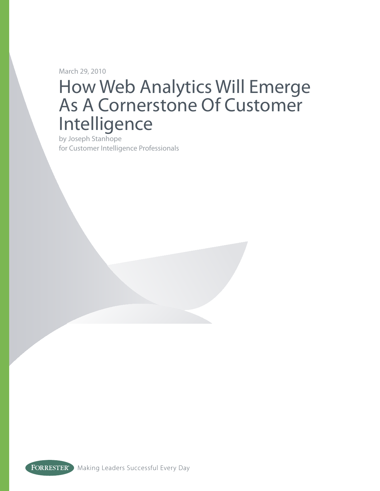March 29, 2010

# How Web Analytics Will Emerge As A Cornerstone Of Customer Intelligence

by Joseph Stanhope for Customer Intelligence Professionals

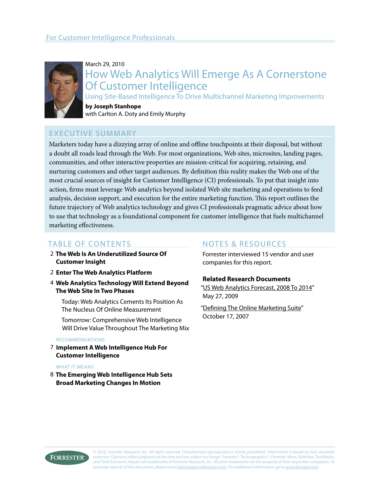

#### March 29, 2010

## How Web Analytics Will Emerge As A Cornerstone Of Customer Intelligence

Using Site-Based Intelligence To Drive Multichannel Marketing Improvements

#### **by Joseph Stanhope** with Carlton A. Doty and Emily Murphy

### Executive Summary

Marketers today have a dizzying array of online and offline touchpoints at their disposal, but without a doubt all roads lead through the Web. For most organizations, Web sites, microsites, landing pages, communities, and other interactive properties are mission-critical for acquiring, retaining, and nurturing customers and other target audiences. By definition this reality makes the Web one of the most crucial sources of insight for Customer Intelligence (CI) professionals. To put that insight into action, firms must leverage Web analytics beyond isolated Web site marketing and operations to feed analysis, decision support, and execution for the entire marketing function. This report outlines the future trajectory of Web analytics technology and gives CI professionals pragmatic advice about how to use that technology as a foundational component for customer intelligence that fuels multichannel marketing effectiveness.

### table of Contents

- **The Web Is An Underutilized Source Of**  2 **Customer Insight**
- **Enter The Web Analytics Platform** 2
- **Web Analytics Technology Will Extend Beyond**  4 **The Web Site In Two Phases**

Today: Web Analytics Cements Its Position As The Nucleus Of Online Measurement

Tomorrow: Comprehensive Web Intelligence Will Drive Value Throughout The Marketing Mix

#### recommendations

**Implement A Web Intelligence Hub For**  7 **Customer Intelligence**

#### WHAT IT MFANS

**The Emerging Web Intelligence Hub Sets**  8**Broad Marketing Changes In Motion**

#### NOTES & RESOURCES

Forrester interviewed 15 vendor and user companies for this report.

#### **Related Research Documents**

["US Web Analytics Forecast, 2008 To 2014](http://www.forrester.com/go?docid=53629&src=56720pdf)" May 27, 2009

["Defining The Online Marketing Suite](http://www.forrester.com/go?docid=43678&src=56720pdf)" October 17, 2007



*© 2010, Forrester Research, Inc. All rights reserved. Unauthorized reproduction is strictly prohibited. Information is based on best available resources. Opinions reflect judgment at the time and are subject to change. Forrester®, Technographics®, Forrester Wave, RoleView, TechRadar, and Total Economic Impact are trademarks of Forrester Research, Inc. All other trademarks are the property of their respective companies. To purchase reprints of this document, please email [clientsupport@forrester.com.](mailto:clientsupport@forrester.com) For additional information, go to<www.forrester.com>.*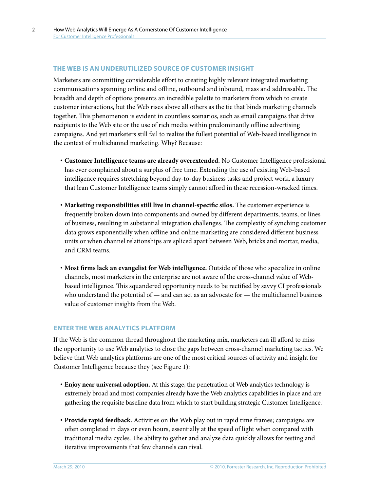#### **The Web is an underutilIzed source of customer insight**

Marketers are committing considerable effort to creating highly relevant integrated marketing communications spanning online and offline, outbound and inbound, mass and addressable. The breadth and depth of options presents an incredible palette to marketers from which to create customer interactions, but the Web rises above all others as the tie that binds marketing channels together. This phenomenon is evident in countless scenarios, such as email campaigns that drive recipients to the Web site or the use of rich media within predominantly offline advertising campaigns. And yet marketers still fail to realize the fullest potential of Web-based intelligence in the context of multichannel marketing. Why? Because:

- **· Customer Intelligence teams are already overextended.** No Customer Intelligence professional has ever complained about a surplus of free time. Extending the use of existing Web-based intelligence requires stretching beyond day-to-day business tasks and project work, a luxury that lean Customer Intelligence teams simply cannot afford in these recession-wracked times.
- **· Marketing responsibilities still live in channel-specific silos.** The customer experience is frequently broken down into components and owned by different departments, teams, or lines of business, resulting in substantial integration challenges. The complexity of synching customer data grows exponentially when offline and online marketing are considered different business units or when channel relationships are spliced apart between Web, bricks and mortar, media, and CRM teams.
- **· Most firms lack an evangelist for Web intelligence.** Outside of those who specialize in online channels, most marketers in the enterprise are not aware of the cross-channel value of Webbased intelligence. This squandered opportunity needs to be rectified by savvy CI professionals who understand the potential of  $-$  and can act as an advocate for  $-$  the multichannel business value of customer insights from the Web.

#### **Enter the Web analytics Platform**

If the Web is the common thread throughout the marketing mix, marketers can ill afford to miss the opportunity to use Web analytics to close the gaps between cross-channel marketing tactics. We believe that Web analytics platforms are one of the most critical sources of activity and insight for Customer Intelligence because they (see Figure 1):

- **· Enjoy near universal adoption.** At this stage, the penetration of Web analytics technology is extremely broad and most companies already have the Web analytics capabilities in place and are gathering the requisite baseline data from which to start building strategic Customer Intelligence.<sup>1</sup>
- **· Provide rapid feedback.** Activities on the Web play out in rapid time frames; campaigns are often completed in days or even hours, essentially at the speed of light when compared with traditional media cycles. The ability to gather and analyze data quickly allows for testing and iterative improvements that few channels can rival.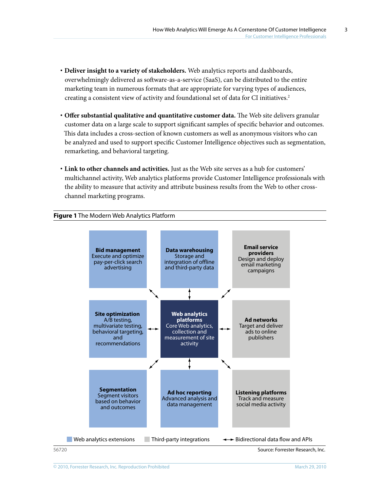- **· Deliver insight to a variety of stakeholders.** Web analytics reports and dashboards, overwhelmingly delivered as software-as-a-service (SaaS), can be distributed to the entire marketing team in numerous formats that are appropriate for varying types of audiences, creating a consistent view of activity and foundational set of data for CI initiatives.2
- **· Offer substantial qualitative and quantitative customer data.** The Web site delivers granular customer data on a large scale to support significant samples of specific behavior and outcomes. This data includes a cross-section of known customers as well as anonymous visitors who can be analyzed and used to support specific Customer Intelligence objectives such as segmentation, remarketing, and behavioral targeting.
- **· Link to other channels and activities.** Just as the Web site serves as a hub for customers' multichannel activity, Web analytics platforms provide Customer Intelligence professionals with the ability to measure that activity and attribute business results from the Web to other crosschannel marketing programs.

#### **Figure 1** The Modern Web Analytics Platform



<sup>56720</sup> Source: Forrester Research, Inc.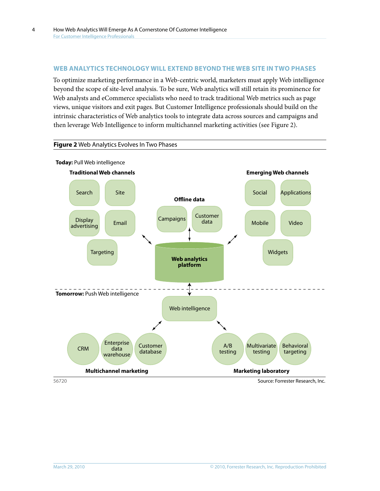**Figure 2** Web Analytics Evolves In Two Phases

#### **Web Analytics technology will extend Beyond the Web site in two phases**

To optimize marketing performance in a Web-centric world, marketers must apply Web intelligence beyond the scope of site-level analysis. To be sure, Web analytics will still retain its prominence for Web analysts and eCommerce specialists who need to track traditional Web metrics such as page views, unique visitors and exit pages. But Customer Intelligence professionals should build on the intrinsic characteristics of Web analytics tools to integrate data across sources and campaigns and then leverage Web Intelligence to inform multichannel marketing activities (see Figure 2).



4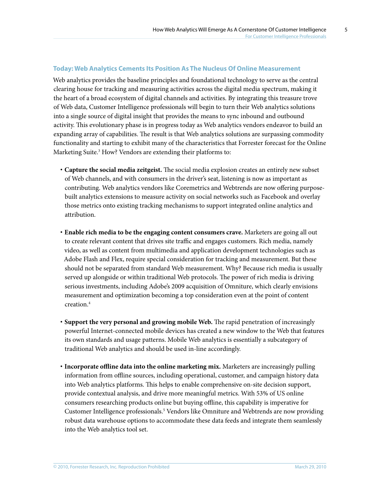#### **Today: Web Analytics Cements Its Position As The Nucleus Of Online Measurement**

Web analytics provides the baseline principles and foundational technology to serve as the central clearing house for tracking and measuring activities across the digital media spectrum, making it the heart of a broad ecosystem of digital channels and activities. By integrating this treasure trove of Web data, Customer Intelligence professionals will begin to turn their Web analytics solutions into a single source of digital insight that provides the means to sync inbound and outbound activity. This evolutionary phase is in progress today as Web analytics vendors endeavor to build an expanding array of capabilities. The result is that Web analytics solutions are surpassing commodity functionality and starting to exhibit many of the characteristics that Forrester forecast for the Online Marketing Suite.3 How? Vendors are extending their platforms to:

- **· Capture the social media zeitgeist.** The social media explosion creates an entirely new subset of Web channels, and with consumers in the driver's seat, listening is now as important as contributing. Web analytics vendors like Coremetrics and Webtrends are now offering purposebuilt analytics extensions to measure activity on social networks such as Facebook and overlay those metrics onto existing tracking mechanisms to support integrated online analytics and attribution.
- **· Enable rich media to be the engaging content consumers crave.** Marketers are going all out to create relevant content that drives site traffic and engages customers. Rich media, namely video, as well as content from multimedia and application development technologies such as Adobe Flash and Flex, require special consideration for tracking and measurement. But these should not be separated from standard Web measurement. Why? Because rich media is usually served up alongside or within traditional Web protocols. The power of rich media is driving serious investments, including Adobe's 2009 acquisition of Omniture, which clearly envisions measurement and optimization becoming a top consideration even at the point of content creation.4
- **· Support the very personal and growing mobile Web.** The rapid penetration of increasingly powerful Internet-connected mobile devices has created a new window to the Web that features its own standards and usage patterns. Mobile Web analytics is essentially a subcategory of traditional Web analytics and should be used in-line accordingly.
- **· Incorporate offline data into the online marketing mix.** Marketers are increasingly pulling information from offline sources, including operational, customer, and campaign history data into Web analytics platforms. This helps to enable comprehensive on-site decision support, provide contextual analysis, and drive more meaningful metrics. With 53% of US online consumers researching products online but buying offline, this capability is imperative for Customer Intelligence professionals.<sup>5</sup> Vendors like Omniture and Webtrends are now providing robust data warehouse options to accommodate these data feeds and integrate them seamlessly into the Web analytics tool set.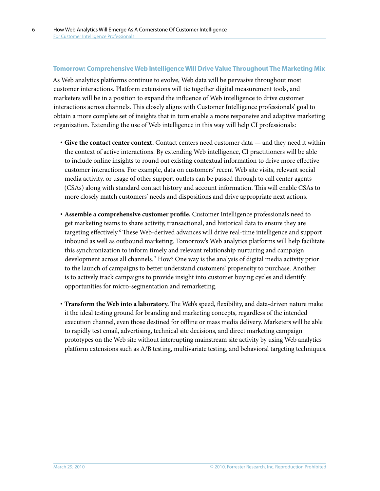#### **Tomorrow: Comprehensive Web Intelligence Will Drive Value Throughout The Marketing Mix**

As Web analytics platforms continue to evolve, Web data will be pervasive throughout most customer interactions. Platform extensions will tie together digital measurement tools, and marketers will be in a position to expand the influence of Web intelligence to drive customer interactions across channels. This closely aligns with Customer Intelligence professionals' goal to obtain a more complete set of insights that in turn enable a more responsive and adaptive marketing organization. Extending the use of Web intelligence in this way will help CI professionals:

- **· Give the contact center context.** Contact centers need customer data and they need it within the context of active interactions. By extending Web intelligence, CI practitioners will be able to include online insights to round out existing contextual information to drive more effective customer interactions. For example, data on customers' recent Web site visits, relevant social media activity, or usage of other support outlets can be passed through to call center agents (CSAs) along with standard contact history and account information. This will enable CSAs to more closely match customers' needs and dispositions and drive appropriate next actions.
- **· Assemble a comprehensive customer profile.** Customer Intelligence professionals need to get marketing teams to share activity, transactional, and historical data to ensure they are targeting effectively.<sup>6</sup> These Web-derived advances will drive real-time intelligence and support inbound as well as outbound marketing. Tomorrow's Web analytics platforms will help facilitate this synchronization to inform timely and relevant relationship nurturing and campaign development across all channels. 7 How? One way is the analysis of digital media activity prior to the launch of campaigns to better understand customers' propensity to purchase. Another is to actively track campaigns to provide insight into customer buying cycles and identify opportunities for micro-segmentation and remarketing.
- **· Transform the Web into a laboratory.** The Web's speed, flexibility, and data-driven nature make it the ideal testing ground for branding and marketing concepts, regardless of the intended execution channel, even those destined for offline or mass media delivery. Marketers will be able to rapidly test email, advertising, technical site decisions, and direct marketing campaign prototypes on the Web site without interrupting mainstream site activity by using Web analytics platform extensions such as A/B testing, multivariate testing, and behavioral targeting techniques.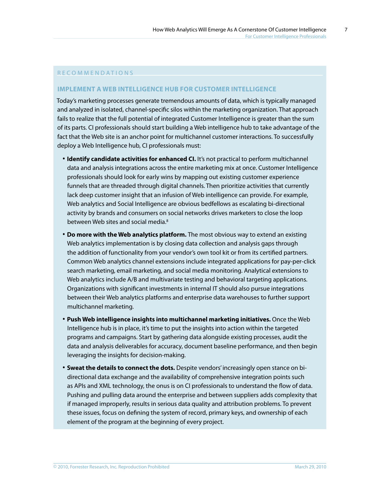#### R F C O M M F N D A T I O N S

#### **Implement a Web intelligence hub for CUstomer Intelligence**

Today's marketing processes generate tremendous amounts of data, which is typically managed and analyzed in isolated, channel-specific silos within the marketing organization. That approach fails to realize that the full potential of integrated Customer Intelligence is greater than the sum of its parts. CI professionals should start building a Web intelligence hub to take advantage of the fact that the Web site is an anchor point for multichannel customer interactions. To successfully deploy a Web Intelligence hub, CI professionals must:

- **· Identify candidate activities for enhanced CI.** It's not practical to perform multichannel data and analysis integrations across the entire marketing mix at once. Customer Intelligence professionals should look for early wins by mapping out existing customer experience funnels that are threaded through digital channels. Then prioritize activities that currently lack deep customer insight that an infusion of Web intelligence can provide. For example, Web analytics and Social Intelligence are obvious bedfellows as escalating bi-directional activity by brands and consumers on social networks drives marketers to close the loop between Web sites and social media.<sup>8</sup>
- **· Do more with the Web analytics platform.** The most obvious way to extend an existing Web analytics implementation is by closing data collection and analysis gaps through the addition of functionality from your vendor's own tool kit or from its certified partners. Common Web analytics channel extensions include integrated applications for pay-per-click search marketing, email marketing, and social media monitoring. Analytical extensions to Web analytics include A/B and multivariate testing and behavioral targeting applications. Organizations with significant investments in internal IT should also pursue integrations between their Web analytics platforms and enterprise data warehouses to further support multichannel marketing.
- **· Push Web intelligence insights into multichannel marketing initiatives.** Once the Web Intelligence hub is in place, it's time to put the insights into action within the targeted programs and campaigns. Start by gathering data alongside existing processes, audit the data and analysis deliverables for accuracy, document baseline performance, and then begin leveraging the insights for decision-making.
- **· Sweat the details to connect the dots.** Despite vendors' increasingly open stance on bidirectional data exchange and the availability of comprehensive integration points such as APIs and XML technology, the onus is on CI professionals to understand the flow of data. Pushing and pulling data around the enterprise and between suppliers adds complexity that if managed improperly, results in serious data quality and attribution problems. To prevent these issues, focus on defining the system of record, primary keys, and ownership of each element of the program at the beginning of every project.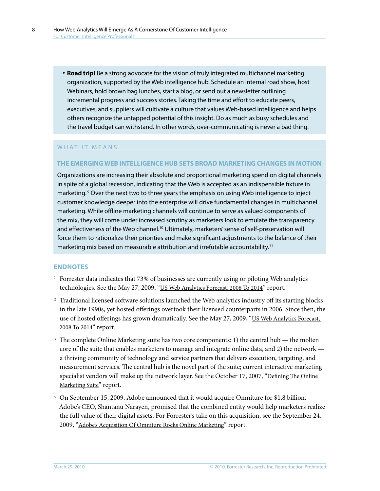**· Road trip!** Be a strong advocate for the vision of truly integrated multichannel marketing organization, supported by the Web intelligence hub. Schedule an internal road show, host Webinars, hold brown bag lunches, start a blog, or send out a newsletter outlining incremental progress and success stories. Taking the time and effort to educate peers, executives, and suppliers will cultivate a culture that values Web-based intelligence and helps others recognize the untapped potential of this insight. Do as much as busy schedules and the travel budget can withstand. In other words, over-communicating is never a bad thing.

#### WHAT IT MEANS

#### **The emerging Web Intelligence hub sets Broad Marketing Changes in Motion**

Organizations are increasing their absolute and proportional marketing spend on digital channels in spite of a global recession, indicating that the Web is accepted as an indispensible fixture in marketing. <sup>9</sup> Over the next two to three years the emphasis on using Web intelligence to inject customer knowledge deeper into the enterprise will drive fundamental changes in multichannel marketing. While offline marketing channels will continue to serve as valued components of the mix, they will come under increased scrutiny as marketers look to emulate the transparency and effectiveness of the Web channel.<sup>10</sup> Ultimately, marketers' sense of self-preservation will force them to rationalize their priorities and make significant adjustments to the balance of their marketing mix based on measurable attribution and irrefutable accountability.<sup>11</sup>

#### **Endnotes**

- <sup>1</sup> Forrester data indicates that 73% of businesses are currently using or piloting Web analytics technologies. See the May 27, 2009, "[US Web Analytics Forecast, 2008 To 2014](http://www.forrester.com/go?docid=53629&src=56720pdf)" report.
- <sup>2</sup> Traditional licensed software solutions launched the Web analytics industry off its starting blocks in the late 1990s, yet hosted offerings overtook their licensed counterparts in 2006. Since then, the use of hosted offerings has grown dramatically. See the May 27, 2009, "[US Web Analytics Forecast,](http://www.forrester.com/go?docid=53629&src=56720pdf)  [2008 To 2014](http://www.forrester.com/go?docid=53629&src=56720pdf)" report.
- <sup>3</sup> The complete Online Marketing suite has two core components: 1) the central hub the molten core of the suite that enables marketers to manage and integrate online data, and 2) the network a thriving community of technology and service partners that delivers execution, targeting, and measurement services. The central hub is the novel part of the suite; current interactive marketing specialist vendors will make up the network layer. See the October 17, 2007, "[Defining The Online](http://www.forrester.com/go?docid=43678&src=56720pdf)  [Marketing Suite"](http://www.forrester.com/go?docid=43678&src=56720pdf) report.
- <sup>4</sup> On September 15, 2009, Adobe announced that it would acquire Omniture for \$1.8 billion. Adobe's CEO, Shantanu Narayen, promised that the combined entity would help marketers realize the full value of their digital assets. For Forrester's take on this acquisition, see the September 24, 2009, ["Adobe's Acquisition Of Omniture Rocks Online Marketing"](http://www.forrester.com/go?docid=55380&src=56720pdf) report.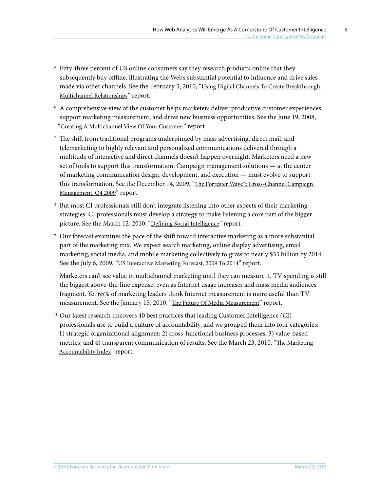9

- <sup>5</sup> Fifty-three percent of US online consumers say they research products online that they subsequently buy offline, illustrating the Web's substantial potential to influence and drive sales made via other channels. See the February 5, 2010, "Using Digital Channels To Create Breakthrough [Multichannel Relationships"](http://www.forrester.com/go?docid=53220&src=56720pdf) report.
- <sup>6</sup> A comprehensive view of the customer helps marketers deliver productive customer experiences, support marketing measurement, and drive new business opportunities. See the June 19, 2008, "[Creating A Multichannel View Of Your Customer"](http://www.forrester.com/go?docid=44391&src=56720pdf) report.
- <sup>7</sup> The shift from traditional programs underpinned by mass advertising, direct mail, and telemarketing to highly relevant and personalized communications delivered through a multitude of interactive and direct channels doesn't happen overnight. Marketers need a new set of tools to support this transformation. Campaign management solutions — at the center of marketing communication design, development, and execution — must evolve to support this transformation. See the December 14, 2009, "The Forrester Wave™: Cross-Channel Campaign [Management, Q4 2009"](http://www.forrester.com/go?docid=47642&src=56720pdf) report.
- <sup>8</sup> But most CI professionals still don't integrate listening into other aspects of their marketing strategies. CI professionals must develop a strategy to make listening a core part of the bigger picture. See the March 12, 2010, ["Defining Social Intelligence](http://www.forrester.com/go?docid=55983&src=56720pdf)" report.
- <sup>9</sup> Our forecast examines the pace of the shift toward interactive marketing as a more substantial part of the marketing mix. We expect search marketing, online display advertising, email marketing, social media, and mobile marketing collectively to grow to nearly \$55 billion by 2014. See the July 6, 2009, ["US Interactive Marketing Forecast, 2009 To 2014](http://www.forrester.com/go?docid=47730&src=56720pdf)" report.
- <sup>10</sup> Marketers can't see value in multichannel marketing until they can measure it. TV spending is still the biggest above-the-line expense, even as Internet usage increases and mass media audiences fragment. Yet 65% of marketing leaders think Internet measurement is more useful than TV measurement. See the January 15, 2010, ["The Future Of Media Measurement"](http://www.forrester.com/go?docid=54091&src=56720pdf) report.
- <sup>11</sup> Our latest research uncovers 40 best practices that leading Customer Intelligence (CI) professionals use to build a culture of accountability, and we grouped them into four categories: 1) strategic organizational alignment; 2) cross-functional business processes; 3) value-based metrics; and 4) transparent communication of results. See the March 23, 2010, "The Marketing [Accountability Index"](http://www.forrester.com/go?docid=53634&src=56720pdf) report.